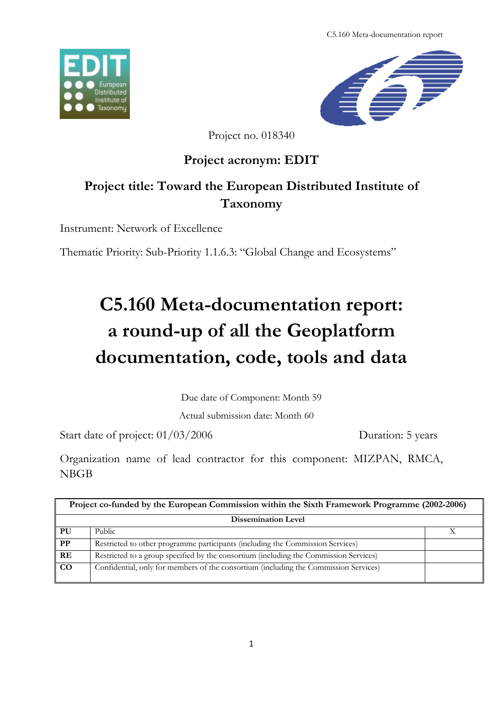C5.160 Meta-documentation report





Project no. 018340

# **Project acronym: EDIT**

# **Project title: Toward the European Distributed Institute of Taxonomy**

Instrument: Network of Excellence

Thematic Priority: Sub-Priority 1.1.6.3: "Global Change and Ecosystems"

# **C5.160 Meta-documentation report: a round-up of all the Geoplatform documentation, code, tools and data**

Due date of Component: Month 59

Actual submission date: Month 60

Start date of project:  $01/03/2006$  Duration: 5 years

Organization name of lead contractor for this component: MIZPAN, RMCA, NBGB

| Project co-funded by the European Commission within the Sixth Framework Programme (2002-2006) |                                                                                       |  |  |
|-----------------------------------------------------------------------------------------------|---------------------------------------------------------------------------------------|--|--|
| <b>Dissemination Level</b>                                                                    |                                                                                       |  |  |
| PU                                                                                            | Public                                                                                |  |  |
| $\bf PP$                                                                                      | Restricted to other programme participants (including the Commission Services)        |  |  |
| RE                                                                                            | Restricted to a group specified by the consortium (including the Commission Services) |  |  |
| CO                                                                                            | Confidential, only for members of the consortium (including the Commission Services)  |  |  |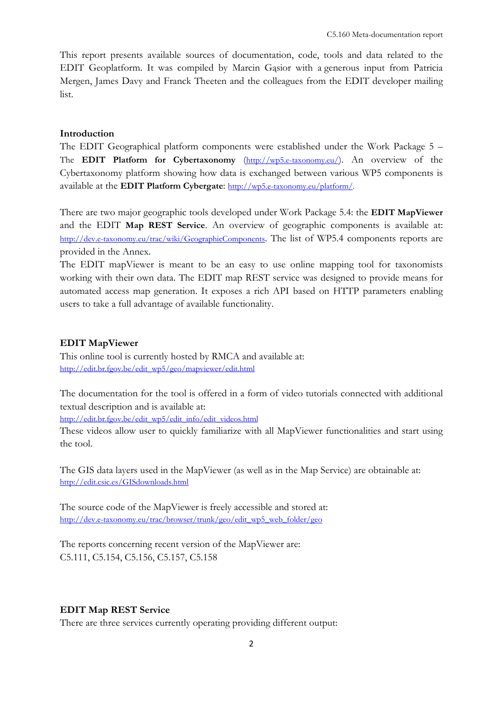This report presents available sources of documentation, code, tools and data related to the EDIT Geoplatform. It was compiled by Marcin Gąsior with a generous input from Patricia Mergen, James Davy and Franck Theeten and the colleagues from the EDIT developer mailing list.

#### **Introduction**

The EDIT Geographical platform components were established under the Work Package 5 – The **EDIT Platform for Cybertaxonomy** (http://wp5.e-taxonomy.eu/). An overview of the Cybertaxonomy platform showing how data is exchanged between various WP5 components is available at the **EDIT Platform Cybergate**: http://wp5.e-taxonomy.eu/platform/.

There are two major geographic tools developed under Work Package 5.4: the **EDIT MapViewer** and the EDIT **Map REST Service**. An overview of geographic components is available at: http://dev.e-taxonomy.eu/trac/wiki/GeographicComponents. The list of WP5.4 components reports are provided in the Annex.

The EDIT mapViewer is meant to be an easy to use online mapping tool for taxonomists working with their own data. The EDIT map REST service was designed to provide means for automated access map generation. It exposes a rich API based on HTTP parameters enabling users to take a full advantage of available functionality.

#### **EDIT MapViewer**

This online tool is currently hosted by RMCA and available at: http://edit.br.fgov.be/edit\_wp5/geo/mapviewer/edit.html

The documentation for the tool is offered in a form of video tutorials connected with additional textual description and is available at:

http://edit.br.fgov.be/edit\_wp5/edit\_info/edit\_videos.html

These videos allow user to quickly familiarize with all MapViewer functionalities and start using the tool.

The GIS data layers used in the MapViewer (as well as in the Map Service) are obtainable at: http://edit.csic.es/GISdownloads.html

The source code of the MapViewer is freely accessible and stored at: http://dev.e-taxonomy.eu/trac/browser/trunk/geo/edit\_wp5\_web\_folder/geo

The reports concerning recent version of the MapViewer are: C5.111, C5.154, C5.156, C5.157, C5.158

# **EDIT Map REST Service**

There are three services currently operating providing different output: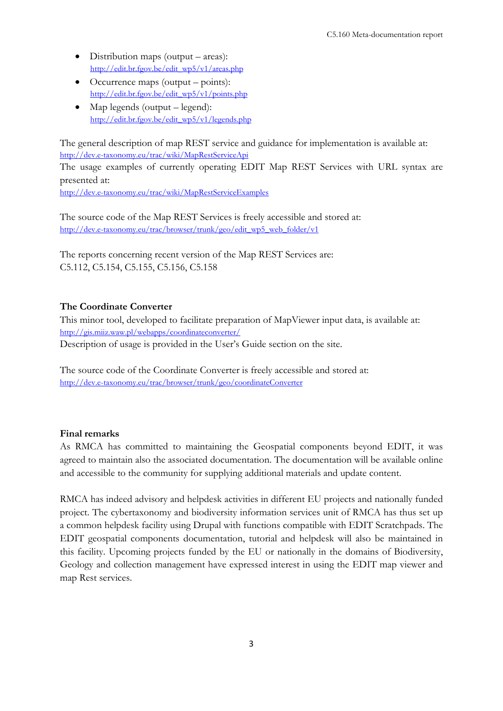- Distribution maps (output areas): http://edit.br.fgov.be/edit\_wp5/v1/areas.php
- $\bullet$  Occurrence maps (output points): http://edit.br.fgov.be/edit\_wp5/v1/points.php
- Map legends (output legend): http://edit.br.fgov.be/edit\_wp5/v1/legends.php

The general description of map REST service and guidance for implementation is available at: http://dev.e-taxonomy.eu/trac/wiki/MapRestServiceApi

The usage examples of currently operating EDIT Map REST Services with URL syntax are presented at:

http://dev.e-taxonomy.eu/trac/wiki/MapRestServiceExamples

The source code of the Map REST Services is freely accessible and stored at: http://dev.e-taxonomy.eu/trac/browser/trunk/geo/edit\_wp5\_web\_folder/v1

The reports concerning recent version of the Map REST Services are: C5.112, C5.154, C5.155, C5.156, C5.158

# **The Coordinate Converter**

This minor tool, developed to facilitate preparation of MapViewer input data, is available at: http://gis.miiz.waw.pl/webapps/coordinateconverter/ Description of usage is provided in the User's Guide section on the site.

The source code of the Coordinate Converter is freely accessible and stored at: http://dev.e-taxonomy.eu/trac/browser/trunk/geo/coordinateConverter

# **Final remarks**

As RMCA has committed to maintaining the Geospatial components beyond EDIT, it was agreed to maintain also the associated documentation. The documentation will be available online and accessible to the community for supplying additional materials and update content.

RMCA has indeed advisory and helpdesk activities in different EU projects and nationally funded project. The cybertaxonomy and biodiversity information services unit of RMCA has thus set up a common helpdesk facility using Drupal with functions compatible with EDIT Scratchpads. The EDIT geospatial components documentation, tutorial and helpdesk will also be maintained in this facility. Upcoming projects funded by the EU or nationally in the domains of Biodiversity, Geology and collection management have expressed interest in using the EDIT map viewer and map Rest services.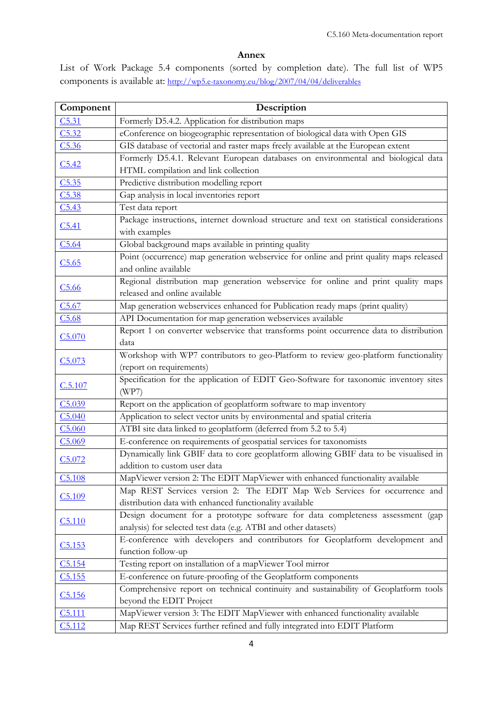### **Annex**

List of Work Package 5.4 components (sorted by completion date). The full list of WP5 components is available at: http://wp5.e-taxonomy.eu/blog/2007/04/04/deliverables

| Component          | Description                                                                                                                                       |  |
|--------------------|---------------------------------------------------------------------------------------------------------------------------------------------------|--|
| C5.31              | Formerly D5.4.2. Application for distribution maps                                                                                                |  |
| C5.32              | eConference on biogeographic representation of biological data with Open GIS                                                                      |  |
| C5.36              | GIS database of vectorial and raster maps freely available at the European extent                                                                 |  |
| C5.42              | Formerly D5.4.1. Relevant European databases on environmental and biological data<br>HTML compilation and link collection                         |  |
| C5.35              | Predictive distribution modelling report                                                                                                          |  |
| C5.38              | Gap analysis in local inventories report                                                                                                          |  |
| C5.43              | Test data report                                                                                                                                  |  |
| C5.41              | Package instructions, internet download structure and text on statistical considerations<br>with examples                                         |  |
| C5.64              | Global background maps available in printing quality                                                                                              |  |
| C5.65              | Point (occurrence) map generation webservice for online and print quality maps released<br>and online available                                   |  |
| C5.66              | Regional distribution map generation webservice for online and print quality maps<br>released and online available                                |  |
| C5.67              | Map generation webservices enhanced for Publication ready maps (print quality)                                                                    |  |
| C5.68              | API Documentation for map generation webservices available                                                                                        |  |
| C <sub>5.070</sub> | Report 1 on converter webservice that transforms point occurrence data to distribution<br>data                                                    |  |
| C5.073             | Workshop with WP7 contributors to geo-Platform to review geo-platform functionality<br>(report on requirements)                                   |  |
| C.5.107            | Specification for the application of EDIT Geo-Software for taxonomic inventory sites<br>(WP7)                                                     |  |
| C5.039             | Report on the application of geoplatform software to map inventory                                                                                |  |
| C5.040             | Application to select vector units by environmental and spatial criteria                                                                          |  |
| C5.060             | ATBI site data linked to geoplatform (deferred from 5.2 to 5.4)                                                                                   |  |
| C5.069             | E-conference on requirements of geospatial services for taxonomists                                                                               |  |
| C5.072             | Dynamically link GBIF data to core geoplatform allowing GBIF data to be visualised in<br>addition to custom user data                             |  |
| C5.108             | MapViewer version 2: The EDIT MapViewer with enhanced functionality available                                                                     |  |
| C5.109             | Map REST Services version 2: The EDIT Map Web Services for occurrence and<br>distribution data with enhanced functionality available              |  |
| C <sub>5.110</sub> | Design document for a prototype software for data completeness assessment (gap<br>analysis) for selected test data (e.g. ATBI and other datasets) |  |
| C5.153             | E-conference with developers and contributors for Geoplatform development and<br>function follow-up                                               |  |
| C5.154             | Testing report on installation of a mapViewer Tool mirror                                                                                         |  |
| C5.155             | E-conference on future-proofing of the Geoplatform components                                                                                     |  |
| C5.156             | Comprehensive report on technical continuity and sustainability of Geoplatform tools<br>beyond the EDIT Project                                   |  |
| C <sub>5.111</sub> | MapViewer version 3: The EDIT MapViewer with enhanced functionality available                                                                     |  |
| C5.112             | Map REST Services further refined and fully integrated into EDIT Platform                                                                         |  |